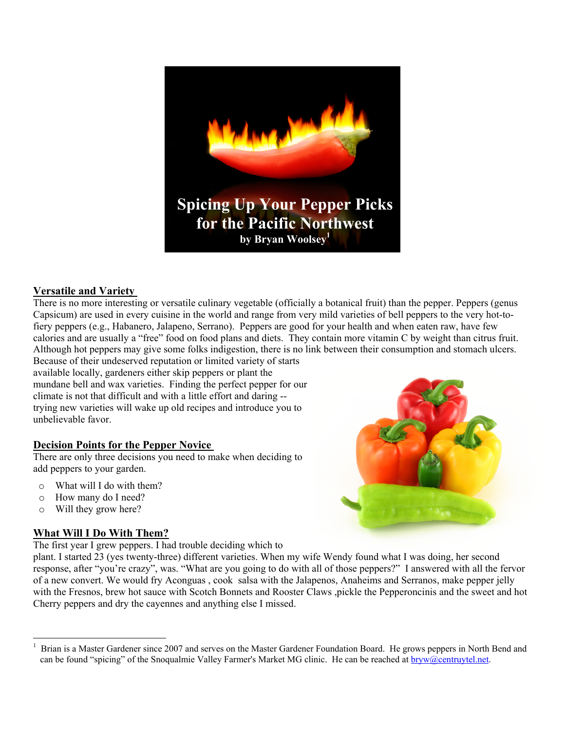

# **Versatile and Variety [1](#page-0-0)**

There is no more interesting or versatile culinary vegetable (officially a botanical fruit) than the pepper. Peppers (genus Capsicum) are used in every cuisine in the world and range from very mild varieties of bell peppers to the very hot-tofiery peppers (e.g., Habanero, Jalapeno, Serrano). Peppers are good for your health and when eaten raw, have few calories and are usually a "free" food on food plans and diets. They contain more vitamin C by weight than citrus fruit. Although hot peppers may give some folks indigestion, there is no link between their consumption and stomach ulcers. Because of their undeserved reputation or limited variety of starts

available locally, gardeners either skip peppers or plant the mundane bell and wax varieties. Finding the perfect pepper for our climate is not that difficult and with a little effort and daring - trying new varieties will wake up old recipes and introduce you to unbelievable favor.

## **Decision Points for the Pepper Novice**

There are only three decisions you need to make when deciding to add peppers to your garden.

- o What will I do with them?
- o How many do I need?
- o Will they grow here?

 $\overline{a}$ 

# **What Will I Do With Them?**

The first year I grew peppers. I had trouble deciding which to

plant. I started 23 (yes twenty-three) different varieties. When my wife Wendy found what I was doing, her second response, after "you're crazy", was. "What are you going to do with all of those peppers?" I answered with all the fervor of a new convert. We would fry Aconguas , cook salsa with the Jalapenos, Anaheims and Serranos, make pepper jelly with the Fresnos, brew hot sauce with Scotch Bonnets and Rooster Claws ,pickle the Pepperoncinis and the sweet and hot Cherry peppers and dry the cayennes and anything else I missed.

<span id="page-0-0"></span><sup>1</sup> Brian is a Master Gardener since 2007 and serves on the Master Gardener Foundation Board. He grows peppers in North Bend and can be found "spicing" of the Snoqualmie Valley Farmer's Market MG clinic. He can be reached at **bryw@centruytel.net**.